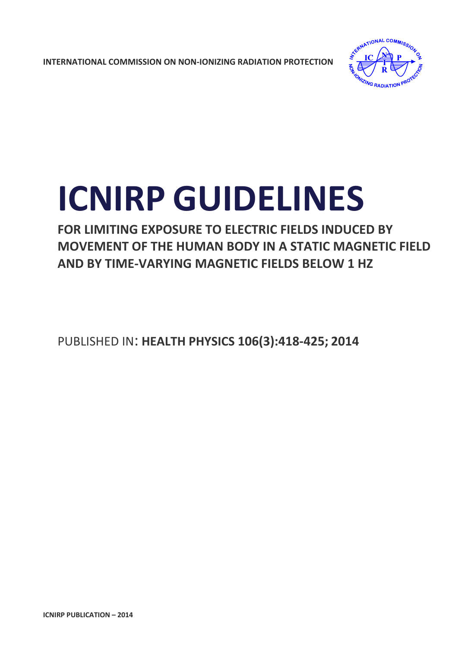**INTERNATIONAL COMMISSION ON NON‐IONIZING RADIATION PROTECTION** 



# **ICNIRP GUIDELINES**

**FOR LIMITING EXPOSURE TO ELECTRIC FIELDS INDUCED BY MOVEMENT OF THE HUMAN BODY IN A STATIC MAGNETIC FIELD AND BY TIME‐VARYING MAGNETIC FIELDS BELOW 1 HZ**

PUBLISHED IN: **HEALTH PHYSICS 106(3):418‐425; 2014**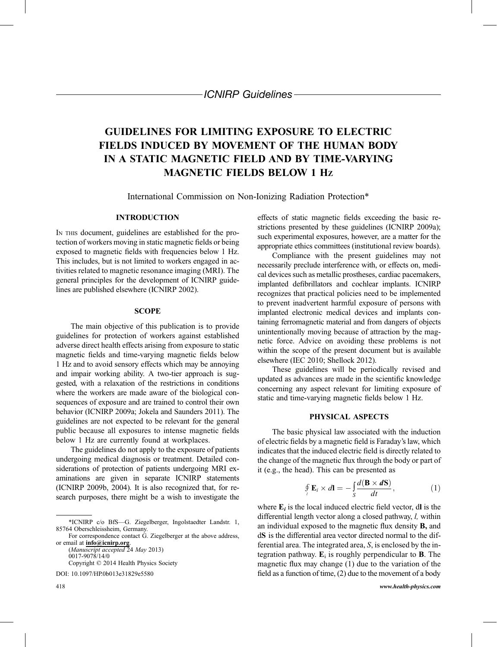ICNIRP Guidelines

## GUIDELINES FOR LIMITING EXPOSURE TO ELECTRIC FIELDS INDUCED BY MOVEMENT OF THE HUMAN BODY IN A STATIC MAGNETIC FIELD AND BY TIME-VARYING MAGNETIC FIELDS BELOW 1 HZ

International Commission on Non-Ionizing Radiation Protection\*

#### INTRODUCTION

IN THIS document, guidelines are established for the protection of workers moving in static magnetic fields or being exposed to magnetic fields with frequencies below 1 Hz. This includes, but is not limited to workers engaged in activities related to magnetic resonance imaging (MRI). The general principles for the development of ICNIRP guidelines are published elsewhere (ICNIRP 2002).

#### **SCOPE**

The main objective of this publication is to provide guidelines for protection of workers against established adverse direct health effects arising from exposure to static magnetic fields and time-varying magnetic fields below 1 Hz and to avoid sensory effects which may be annoying and impair working ability. A two-tier approach is suggested, with a relaxation of the restrictions in conditions where the workers are made aware of the biological consequences of exposure and are trained to control their own behavior (ICNIRP 2009a; Jokela and Saunders 2011). The guidelines are not expected to be relevant for the general public because all exposures to intense magnetic fields below 1 Hz are currently found at workplaces.

The guidelines do not apply to the exposure of patients undergoing medical diagnosis or treatment. Detailed considerations of protection of patients undergoing MRI examinations are given in separate ICNIRP statements (ICNIRP 2009b, 2004). It is also recognized that, for research purposes, there might be a wish to investigate the

0017-9078/14/0 Copyright *\** 2014 Health Physics Society

DOI: 10.1097/HP.0b013e31829e5580

effects of static magnetic fields exceeding the basic restrictions presented by these guidelines (ICNIRP 2009a); such experimental exposures, however, are a matter for the appropriate ethics committees (institutional review boards).

Compliance with the present guidelines may not necessarily preclude interference with, or effects on, medical devices such as metallic prostheses, cardiac pacemakers, implanted defibrillators and cochlear implants. ICNIRP recognizes that practical policies need to be implemented to prevent inadvertent harmful exposure of persons with implanted electronic medical devices and implants containing ferromagnetic material and from dangers of objects unintentionally moving because of attraction by the magnetic force. Advice on avoiding these problems is not within the scope of the present document but is available elsewhere (IEC 2010; Shellock 2012).

These guidelines will be periodically revised and updated as advances are made in the scientific knowledge concerning any aspect relevant for limiting exposure of static and time-varying magnetic fields below 1 Hz.

#### PHYSICAL ASPECTS

The basic physical law associated with the induction of electric fields by a magnetic field is Faraday's law, which indicates that the induced electric field is directly related to the change of the magnetic flux through the body or part of it (e.g., the head). This can be presented as

$$
\oint_{t} \mathbf{E}_{i} \times d\mathbf{l} = -\int_{S} \frac{d(\mathbf{B} \times d\mathbf{S})}{dt}, \qquad (1)
$$

where  $E_i$  is the local induced electric field vector, dl is the differential length vector along a closed pathway, l, within an individual exposed to the magnetic flux density B, and dS is the differential area vector directed normal to the differential area. The integrated area, S, is enclosed by the integration pathway.  $E_i$  is roughly perpendicular to **B**. The magnetic flux may change (1) due to the variation of the field as a function of time, (2) due to the movement of a body

<sup>\*</sup>ICNIRP c/o BfS*V*G. Ziegelberger, Ingolstaedter Landstr. 1, 85764 Oberschleissheim, Germany.

For correspondence contact G. Ziegelberger at the above address, or email at [info@icnirp.org](mailto:info@icnirp.org).  $(Manuscript\; accepted\; 24\; May\; 2013)$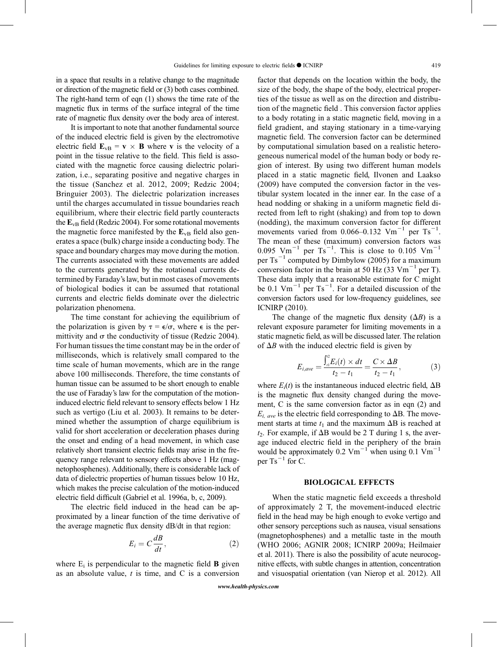in a space that results in a relative change to the magnitude or direction of the magnetic field or (3) both cases combined. The right-hand term of eqn (1) shows the time rate of the magnetic flux in terms of the surface integral of the time rate of magnetic flux density over the body area of interest.

It is important to note that another fundamental source of the induced electric field is given by the electromotive electric field  $\mathbf{E}_{vB} = \mathbf{v} \times \mathbf{B}$  where **v** is the velocity of a point in the tissue relative to the field. This field is associated with the magnetic force causing dielectric polarization, i.e., separating positive and negative charges in the tissue (Sanchez et al. 2012, 2009; Redzic 2004; Bringuier 2003). The dielectric polarization increases until the charges accumulated in tissue boundaries reach equilibrium, where their electric field partly counteracts the  $E_{VB}$  field (Redzic 2004). For some rotational movements the magnetic force manifested by the  $E_{VB}$  field also generates a space (bulk) charge inside a conducting body. The space and boundary charges may move during the motion. The currents associated with these movements are added to the currents generated by the rotational currents determined by Faraday's law, but in most cases of movements of biological bodies it can be assumed that rotational currents and electric fields dominate over the dielectric polarization phenomena.

The time constant for achieving the equilibrium of the polarization is given by  $\tau = \epsilon/\sigma$ , where  $\epsilon$  is the permittivity and  $\sigma$  the conductivity of tissue (Redzic 2004). For human tissues the time constant may be in the order of milliseconds, which is relatively small compared to the time scale of human movements, which are in the range above 100 milliseconds. Therefore, the time constants of human tissue can be assumed to be short enough to enable the use of Faraday's law for the computation of the motioninduced electric field relevant to sensory effects below 1 Hz such as vertigo (Liu et al. 2003). It remains to be determined whether the assumption of charge equilibrium is valid for short acceleration or deceleration phases during the onset and ending of a head movement, in which case relatively short transient electric fields may arise in the frequency range relevant to sensory effects above 1 Hz (magnetophosphenes). Additionally, there is considerable lack of data of dielectric properties of human tissues below 10 Hz, which makes the precise calculation of the motion-induced electric field difficult (Gabriel et al. 1996a, b, c, 2009).

The electric field induced in the head can be approximated by a linear function of the time derivative of the average magnetic flux density dB/dt in that region:

$$
E_i = C \frac{dB}{dt},\tag{2}
$$

where  $E_i$  is perpendicular to the magnetic field **B** given as an absolute value,  $t$  is time, and C is a conversion factor that depends on the location within the body, the size of the body, the shape of the body, electrical properties of the tissue as well as on the direction and distribution of the magnetic field . This conversion factor applies to a body rotating in a static magnetic field, moving in a field gradient, and staying stationary in a time-varying magnetic field. The conversion factor can be determined by computational simulation based on a realistic heterogeneous numerical model of the human body or body region of interest. By using two different human models placed in a static magnetic field, Ilvonen and Laakso (2009) have computed the conversion factor in the vestibular system located in the inner ear. In the case of a head nodding or shaking in a uniform magnetic field directed from left to right (shaking) and from top to down (nodding), the maximum conversion factor for different movements varied from  $0.066 - 0.132$  Vm<sup>-1</sup> per Ts<sup>-1</sup>. The mean of these (maximum) conversion factors was 0.095  $\text{Vm}^{-1}$  per Ts<sup>-1</sup>. This is close to 0.105  $\text{Vm}^{-1}$ per  $Ts^{-1}$  computed by Dimbylow (2005) for a maximum conversion factor in the brain at 50 Hz (33 Vm<sup> $^{-1}$ </sup> per T). These data imply that a reasonable estimate for C might be 0.1  $\text{Vm}^{-1}$  per Ts<sup>-1</sup>. For a detailed discussion of the conversion factors used for low-frequency guidelines, see ICNIRP (2010).

The change of the magnetic flux density  $(\Delta B)$  is a relevant exposure parameter for limiting movements in a static magnetic field, as will be discussed later. The relation of  $\Delta B$  with the induced electric field is given by

$$
E_{i,ave} = \frac{\int_{a}^{2} E_i(t) \times dt}{t_2 - t_1} = \frac{C \times \Delta B}{t_2 - t_1},
$$
 (3)

where  $E_i(t)$  is the instantaneous induced electric field,  $\Delta B$ is the magnetic flux density changed during the movement, C is the same conversion factor as in eqn (2) and  $E_{i, \text{ave}}$  is the electric field corresponding to  $\Delta B$ . The movement starts at time  $t_1$  and the maximum  $\Delta B$  is reached at  $t_2$ . For example, if  $\Delta B$  would be 2 T during 1 s, the average induced electric field in the periphery of the brain would be approximately 0.2  $\text{Vm}^{-1}$  when using 0.1  $\text{Vm}^{-1}$ per  $Ts^{-1}$  for C.

#### BIOLOGICAL EFFECTS

When the static magnetic field exceeds a threshold of approximately 2 T, the movement-induced electric field in the head may be high enough to evoke vertigo and other sensory perceptions such as nausea, visual sensations (magnetophosphenes) and a metallic taste in the mouth (WHO 2006; AGNIR 2008; ICNIRP 2009a; Heilmaier et al. 2011). There is also the possibility of acute neurocognitive effects, with subtle changes in attention, concentration and visuospatial orientation (van Nierop et al. 2012). All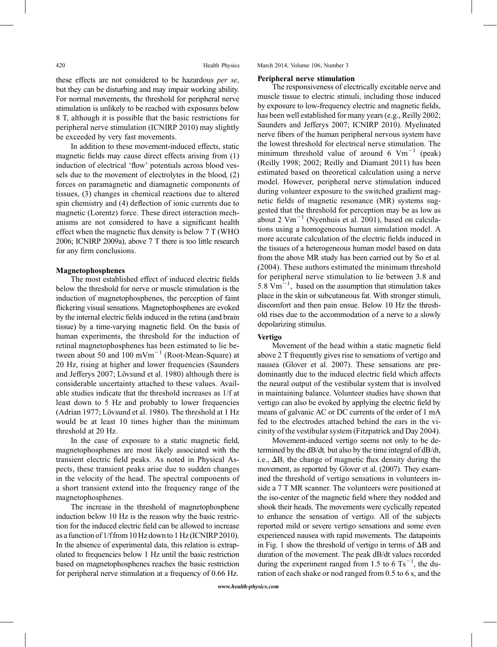these effects are not considered to be hazardous per se, but they can be disturbing and may impair working ability. For normal movements, the threshold for peripheral nerve stimulation is unlikely to be reached with exposures below 8 T, although it is possible that the basic restrictions for peripheral nerve stimulation (ICNIRP 2010) may slightly be exceeded by very fast movements.

In addition to these movement-induced effects, static magnetic fields may cause direct effects arising from (1) induction of electrical 'flow' potentials across blood vessels due to the movement of electrolytes in the blood, (2) forces on paramagnetic and diamagnetic components of tissues, (3) changes in chemical reactions due to altered spin chemistry and (4) deflection of ionic currents due to magnetic (Lorentz) force. These direct interaction mechanisms are not considered to have a significant health effect when the magnetic flux density is below 7 T (WHO 2006; ICNIRP 2009a), above 7 T there is too little research for any firm conclusions.

#### Magnetophosphenes

The most established effect of induced electric fields below the threshold for nerve or muscle stimulation is the induction of magnetophosphenes, the perception of faint flickering visual sensations. Magnetophosphenes are evoked by the internal electric fields induced in the retina (and brain tissue) by a time-varying magnetic field. On the basis of human experiments, the threshold for the induction of retinal magnetophosphenes has been estimated to lie between about 50 and 100 mVm<sup> $^{-1}$ </sup> (Root-Mean-Square) at 20 Hz, rising at higher and lower frequencies (Saunders and Jefferys 2007; Lövsund et al. 1980) although there is considerable uncertainty attached to these values. Available studies indicate that the threshold increases as 1/f at least down to 5 Hz and probably to lower frequencies (Adrian 1977; Lövsund et al. 1980). The threshold at 1 Hz would be at least 10 times higher than the minimum threshold at 20 Hz.

In the case of exposure to a static magnetic field, magnetophosphenes are most likely associated with the transient electric field peaks. As noted in Physical Aspects, these transient peaks arise due to sudden changes in the velocity of the head. The spectral components of a short transient extend into the frequency range of the magnetophosphenes.

The increase in the threshold of magnetophosphene induction below 10 Hz is the reason why the basic restriction for the induced electric field can be allowed to increase as a function of 1/f from 10 Hz down to 1 Hz (ICNIRP 2010). In the absence of experimental data, this relation is extrapolated to frequencies below 1 Hz until the basic restriction based on magnetophosphenes reaches the basic restriction for peripheral nerve stimulation at a frequency of 0.66 Hz.

#### Peripheral nerve stimulation

The responsiveness of electrically excitable nerve and muscle tissue to electric stimuli, including those induced by exposure to low-frequency electric and magnetic fields, has been well established for many years (e.g., Reilly 2002; Saunders and Jefferys 2007; ICNIRP 2010). Myelinated nerve fibers of the human peripheral nervous system have the lowest threshold for electrical nerve stimulation. The minimum threshold value of around 6  $Vm^{-1}$  (peak) (Reilly 1998; 2002; Reilly and Diamant 2011) has been estimated based on theoretical calculation using a nerve model. However, peripheral nerve stimulation induced during volunteer exposure to the switched gradient magnetic fields of magnetic resonance (MR) systems suggested that the threshold for perception may be as low as about 2  $\text{Vm}^{-1}$  (Nyenhuis et al. 2001), based on calculations using a homogeneous human simulation model. A more accurate calculation of the electric fields induced in the tissues of a heterogeneous human model based on data from the above MR study has been carried out by So et al. (2004). These authors estimated the minimum threshold for peripheral nerve stimulation to lie between 3.8 and 5.8  $\mathrm{Vm}^{-1}$ , based on the assumption that stimulation takes place in the skin or subcutaneous fat. With stronger stimuli, discomfort and then pain ensue. Below 10 Hz the threshold rises due to the accommodation of a nerve to a slowly depolarizing stimulus.

#### Vertigo

Movement of the head within a static magnetic field above 2 T frequently gives rise to sensations of vertigo and nausea (Glover et al. 2007). These sensations are predominantly due to the induced electric field which affects the neural output of the vestibular system that is involved in maintaining balance. Volunteer studies have shown that vertigo can also be evoked by applying the electric field by means of galvanic AC or DC currents of the order of 1 mA fed to the electrodes attached behind the ears in the vicinity of the vestibular system (Fitzpatrick and Day 2004).

Movement-induced vertigo seems not only to be determined by the dB/dt, but also by the time integral of dB/dt, i.e.,  $\Delta B$ , the change of magnetic flux density during the movement, as reported by Glover et al. (2007). They examined the threshold of vertigo sensations in volunteers inside a 7 T MR scanner. The volunteers were positioned at the iso-center of the magnetic field where they nodded and shook their heads. The movements were cyclically repeated to enhance the sensation of vertigo. All of the subjects reported mild or severe vertigo sensations and some even experienced nausea with rapid movements. The datapoints in Fig. 1 show the threshold of vertigo in terms of  $\Delta B$  and duration of the movement. The peak dB/dt values recorded during the experiment ranged from 1.5 to 6  $\text{Ts}^{-1}$ , the duration of each shake or nod ranged from 0.5 to 6 s, and the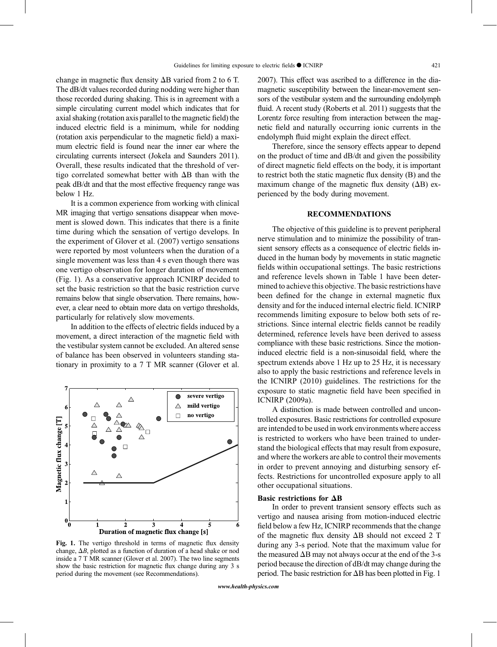change in magnetic flux density  $\Delta B$  varied from 2 to 6 T. The dB/dt values recorded during nodding were higher than those recorded during shaking. This is in agreement with a simple circulating current model which indicates that for axial shaking (rotation axis parallel to the magnetic field) the induced electric field is a minimum, while for nodding (rotation axis perpendicular to the magnetic field) a maximum electric field is found near the inner ear where the circulating currents intersect (Jokela and Saunders 2011). Overall, these results indicated that the threshold of vertigo correlated somewhat better with  $\Delta B$  than with the peak dB/dt and that the most effective frequency range was below 1 Hz.

It is a common experience from working with clinical MR imaging that vertigo sensations disappear when movement is slowed down. This indicates that there is a finite time during which the sensation of vertigo develops. In the experiment of Glover et al. (2007) vertigo sensations were reported by most volunteers when the duration of a single movement was less than 4 s even though there was one vertigo observation for longer duration of movement (Fig. 1). As a conservative approach ICNIRP decided to set the basic restriction so that the basic restriction curve remains below that single observation. There remains, however, a clear need to obtain more data on vertigo thresholds, particularly for relatively slow movements.

In addition to the effects of electric fields induced by a movement, a direct interaction of the magnetic field with the vestibular system cannot be excluded. An altered sense of balance has been observed in volunteers standing stationary in proximity to a 7 T MR scanner (Glover et al.



Fig. 1. The vertigo threshold in terms of magnetic flux density change,  $\Delta B$ , plotted as a function of duration of a head shake or nod inside a 7 T MR scanner (Glover et al. 2007). The two line segments show the basic restriction for magnetic flux change during any 3 s period during the movement (see Recommendations).

2007). This effect was ascribed to a difference in the diamagnetic susceptibility between the linear-movement sensors of the vestibular system and the surrounding endolymph fluid. A recent study (Roberts et al. 2011) suggests that the Lorentz force resulting from interaction between the magnetic field and naturally occurring ionic currents in the endolymph fluid might explain the direct effect.

Therefore, since the sensory effects appear to depend on the product of time and dB/dt and given the possibility of direct magnetic field effects on the body, it is important to restrict both the static magnetic flux density (B) and the maximum change of the magnetic flux density  $(\Delta B)$  experienced by the body during movement.

#### RECOMMENDATIONS

The objective of this guideline is to prevent peripheral nerve stimulation and to minimize the possibility of transient sensory effects as a consequence of electric fields induced in the human body by movements in static magnetic fields within occupational settings. The basic restrictions and reference levels shown in Table 1 have been determined to achieve this objective. The basic restrictions have been defined for the change in external magnetic flux density and for the induced internal electric field. ICNIRP recommends limiting exposure to below both sets of restrictions. Since internal electric fields cannot be readily determined, reference levels have been derived to assess compliance with these basic restrictions. Since the motioninduced electric field is a non-sinusoidal field, where the spectrum extends above 1 Hz up to 25 Hz, it is necessary also to apply the basic restrictions and reference levels in the ICNIRP (2010) guidelines. The restrictions for the exposure to static magnetic field have been specified in ICNIRP (2009a).

A distinction is made between controlled and uncontrolled exposures. Basic restrictions for controlled exposure are intended to be used in work environments where access is restricted to workers who have been trained to understand the biological effects that may result from exposure, and where the workers are able to control their movements in order to prevent annoying and disturbing sensory effects. Restrictions for uncontrolled exposure apply to all other occupational situations.

#### Basic restrictions for  $\Delta B$

In order to prevent transient sensory effects such as vertigo and nausea arising from motion-induced electric field below a few Hz, ICNIRP recommends that the change of the magnetic flux density  $\Delta B$  should not exceed 2 T during any 3-s period. Note that the maximum value for the measured  $\Delta B$  may not always occur at the end of the 3-s period because the direction of dB/dt may change during the period. The basic restriction for  $\Delta B$  has been plotted in Fig. 1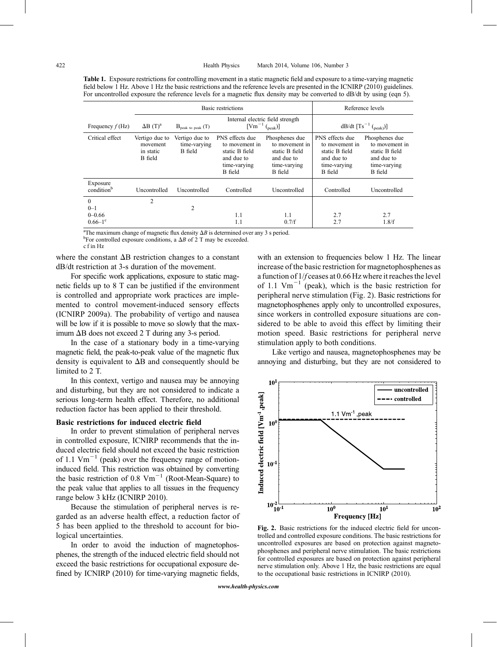Table 1. Exposure restrictions for controlling movement in a static magnetic field and exposure to a time-varying magnetic field below 1 Hz. Above 1 Hz the basic restrictions and the reference levels are presented in the ICNIRP (2010) guidelines. For uncontrolled exposure the reference levels for a magnetic flux density may be converted to dB/dt by using (eqn 5).

|                                                              | <b>Basic restrictions</b>                                 |                                           |                                                                                                     |                                                                                             | Reference levels                                                                             |                                                                                                    |
|--------------------------------------------------------------|-----------------------------------------------------------|-------------------------------------------|-----------------------------------------------------------------------------------------------------|---------------------------------------------------------------------------------------------|----------------------------------------------------------------------------------------------|----------------------------------------------------------------------------------------------------|
| Frequency $f(Hz)$                                            | $\Delta B$ (T) <sup>a</sup>                               | $B_{\text{peak to peak}}$ (T)             | Internal electric field strength<br>$[Vm^{-1} ({}_{peak})]$                                         |                                                                                             | dB/dt $[Ts^{-1} ({}_{\text{peak}})]$                                                         |                                                                                                    |
| Critical effect                                              | Vertigo due to<br>movement<br>in static<br><b>B</b> field | Vertigo due to<br>time-varying<br>B field | PNS effects due<br>to movement in<br>static B field<br>and due to<br>time-varying<br><b>B</b> field | Phosphenes due<br>to movement in<br>static B field<br>and due to<br>time-varying<br>B field | PNS effects due<br>to movement in<br>static B field<br>and due to<br>time-varying<br>B field | Phosphenes due<br>to movement in<br>static B field<br>and due to<br>time-varying<br><b>B</b> field |
| Exposure<br>condition <sup>b</sup>                           | Uncontrolled                                              | Uncontrolled                              | Controlled                                                                                          | <b>Uncontrolled</b>                                                                         | Controlled                                                                                   | Uncontrolled                                                                                       |
| $\theta$<br>$0 - 1$<br>$0 - 0.66$<br>$0.66 - 1$ <sup>c</sup> | $\overline{2}$                                            | 2                                         | 1.1<br>1.1                                                                                          | 1.1<br>0.7/f                                                                                | 2.7<br>2.7                                                                                   | 2.7<br>1.8/f                                                                                       |

<sup>a</sup>The maximum change of magnetic flux density  $\Delta B$  is determined over any 3 s period.

<sup>b</sup>For controlled exposure conditions, a  $\Delta B$  of 2 T may be exceeded.

c f in Hz

where the constant  $\Delta B$  restriction changes to a constant dB/dt restriction at 3-s duration of the movement.

For specific work applications, exposure to static magnetic fields up to 8 T can be justified if the environment is controlled and appropriate work practices are implemented to control movement-induced sensory effects (ICNIRP 2009a). The probability of vertigo and nausea will be low if it is possible to move so slowly that the maximum  $\Delta B$  does not exceed 2 T during any 3-s period.

In the case of a stationary body in a time-varying magnetic field, the peak-to-peak value of the magnetic flux density is equivalent to  $\Delta B$  and consequently should be limited to 2 T.

In this context, vertigo and nausea may be annoying and disturbing, but they are not considered to indicate a serious long-term health effect. Therefore, no additional reduction factor has been applied to their threshold.

#### Basic restrictions for induced electric field

In order to prevent stimulation of peripheral nerves in controlled exposure, ICNIRP recommends that the induced electric field should not exceed the basic restriction of 1.1  $\text{Vm}^{-1}$  (peak) over the frequency range of motioninduced field. This restriction was obtained by converting the basic restriction of 0.8  $Vm^{-1}$  (Root-Mean-Square) to the peak value that applies to all tissues in the frequency range below 3 kHz (ICNIRP 2010).

Because the stimulation of peripheral nerves is regarded as an adverse health effect, a reduction factor of 5 has been applied to the threshold to account for biological uncertainties.

In order to avoid the induction of magnetophosphenes, the strength of the induced electric field should not exceed the basic restrictions for occupational exposure defined by ICNIRP (2010) for time-varying magnetic fields,

with an extension to frequencies below 1 Hz. The linear increase of the basic restriction for magnetophosphenes as a function of  $1/f$  ceases at 0.66 Hz where it reaches the level of 1.1  $\text{Vm}^{-1}$  (peak), which is the basic restriction for peripheral nerve stimulation (Fig. 2). Basic restrictions for magnetophosphenes apply only to uncontrolled exposures, since workers in controlled exposure situations are considered to be able to avoid this effect by limiting their motion speed. Basic restrictions for peripheral nerve stimulation apply to both conditions.

Like vertigo and nausea, magnetophosphenes may be annoying and disturbing, but they are not considered to



Fig. 2. Basic restrictions for the induced electric field for uncontrolled and controlled exposure conditions. The basic restrictions for uncontrolled exposures are based on protection against magnetophosphenes and peripheral nerve stimulation. The basic restrictions for controlled exposures are based on protection against peripheral nerve stimulation only. Above 1 Hz, the basic restrictions are equal to the occupational basic restrictions in ICNIRP (2010).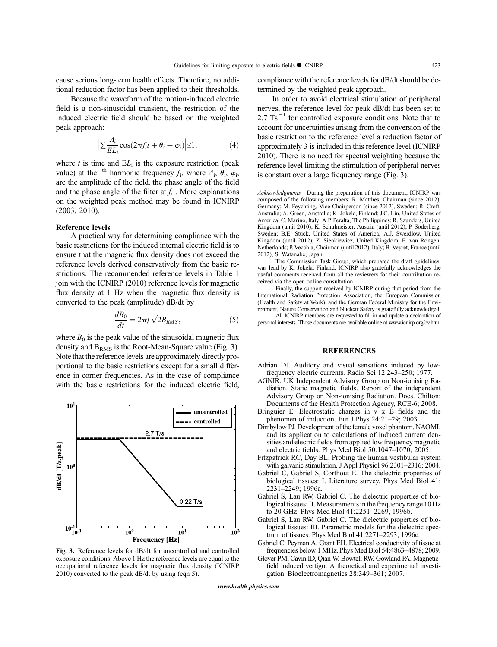cause serious long-term health effects. Therefore, no additional reduction factor has been applied to their thresholds.

Because the waveform of the motion-induced electric field is a non-sinusoidal transient, the restriction of the induced electric field should be based on the weighted peak approach:

$$
\Big|\sum \frac{A_i}{EL_i}\cos(2\pi f_i t + \theta_i + \varphi_i)\Big| \le 1,\tag{4}
$$

where  $t$  is time and  $EL_i$  is the exposure restriction (peak value) at the i<sup>th</sup> harmonic frequency  $f_i$ , where  $A_i$ ,  $\theta_i$ ,  $\varphi_i$ , are the amplitude of the field, the phase angle of the field and the phase angle of the filter at  $f_i$ . More explanations on the weighted peak method may be found in ICNIRP (2003, 2010).

#### Reference levels

A practical way for determining compliance with the basic restrictions for the induced internal electric field is to ensure that the magnetic flux density does not exceed the reference levels derived conservatively from the basic restrictions. The recommended reference levels in Table 1 join with the ICNIRP (2010) reference levels for magnetic flux density at 1 Hz when the magnetic flux density is converted to the peak (amplitude) dB/dt by

$$
\frac{dB_0}{dt} = 2\pi f \sqrt{2}B_{RMS},\tag{5}
$$

where  $B_0$  is the peak value of the sinusoidal magnetic flux density and  $B<sub>RMS</sub>$  is the Root-Mean-Square value (Fig. 3). Note that the reference levels are approximately directly proportional to the basic restrictions except for a small difference in corner frequencies. As in the case of compliance with the basic restrictions for the induced electric field,



Fig. 3. Reference levels for dB/dt for uncontrolled and controlled exposure conditions. Above 1 Hz the reference levels are equal to the occupational reference levels for magnetic flux density (ICNIRP 2010) converted to the peak dB/dt by using (eqn 5).

compliance with the reference levels for dB/dt should be determined by the weighted peak approach.

In order to avoid electrical stimulation of peripheral nerves, the reference level for peak dB/dt has been set to  $2.7 \text{ Ts}^{-1}$  for controlled exposure conditions. Note that to account for uncertainties arising from the conversion of the basic restriction to the reference level a reduction factor of approximately 3 is included in this reference level (ICNIRP 2010). There is no need for spectral weighting because the reference level limiting the stimulation of peripheral nerves is constant over a large frequency range (Fig. 3).

Acknowledgments-During the preparation of this document, ICNIRP was composed of the following members: R. Matthes, Chairman (since 2012), Germany; M. Feychting, Vice-Chairperson (since 2012), Sweden; R. Croft, Australia; A. Green, Australia; K. Jokela, Finland; J.C. Lin, United States of America; C. Marino, Italy; A.P. Peralta, The Philippines; R. Saunders, United Kingdom (until 2010); K. Schulmeister, Austria (until 2012); P. Söderberg, Sweden; B.E. Stuck, United States of America; A.J. Swerdlow, United Kingdom (until 2012); Z. Sienkiewicz, United Kingdom; E. van Rongen, Netherlands; P. Vecchia, Chairman (until 2012), Italy; B. Veyret, France (until 2012), S. Watanabe; Japan.

The Commission Task Group, which prepared the draft guidelines, was lead by K. Jokela, Finland. ICNIRP also gratefully acknowledges the useful comments received from all the reviewers for their contribution received via the open online consultation.

Finally, the support received by ICNIRP during that period from the International Radiation Protection Association, the European Commission (Health and Safety at Work), and the German Federal Ministry for the Environment, Nature Conservation and Nuclear Safety is gratefully acknowledged.

All ICNIRP members are requested to fill in and update a declaration of personal interests. Those documents are available online at [www.icnirp.org/cv.htm.](www.icnirp.org/cv.htm)

#### REFERENCES

- Adrian DJ. Auditory and visual sensations induced by lowfrequency electric currents. Radio Sci 12:243-250; 1977.
- AGNIR. UK Independent Advisory Group on Non-ionising Radiation. Static magnetic fields. Report of the independent Advisory Group on Non-ionising Radiation. Docs. Chilton: Documents of the Health Protection Agency, RCE-6; 2008.
- Bringuier E. Electrostatic charges in v x B fields and the phenomen of induction. Eur J Phys 24:21-29; 2003.
- Dimbylow PJ. Development of the female voxel phantom, NAOMI, and its application to calculations of induced current densities and electric fields from applied low frequency magnetic and electric fields. Phys Med Biol 50:1047-1070; 2005.
- Fitzpatrick RC, Day BL. Probing the human vestibular system with galvanic stimulation. J Appl Physiol 96:2301-2316; 2004.
- Gabriel C, Gabriel S, Corthout E. The dielectric properties of biological tissues: I. Literature survey. Phys Med Biol 41: 2231-2249; 1996a.
- Gabriel S, Lau RW, Gabriel C. The dielectric properties of biological tissues: II. Measurements in the frequency range 10 Hz to 20 GHz. Phys Med Biol 41:2251-2269, 1996b.
- Gabriel S, Lau RW, Gabriel C. The dielectric properties of biological tissues: III. Parametric models for the dielectric spectrum of tissues. Phys Med Biol 41:2271-2293; 1996c.
- Gabriel C, Peyman A, Grant EH. Electrical conductivity of tissue at frequencies below 1 MHz. Phys Med Biol 54:4863-4878; 2009.
- Glover PM, Cavin ID, Qian W, Bowtell RW, Gowland PA. Magneticfield induced vertigo: A theoretical and experimental investigation. Bioelectromagnetics 28:349-361; 2007.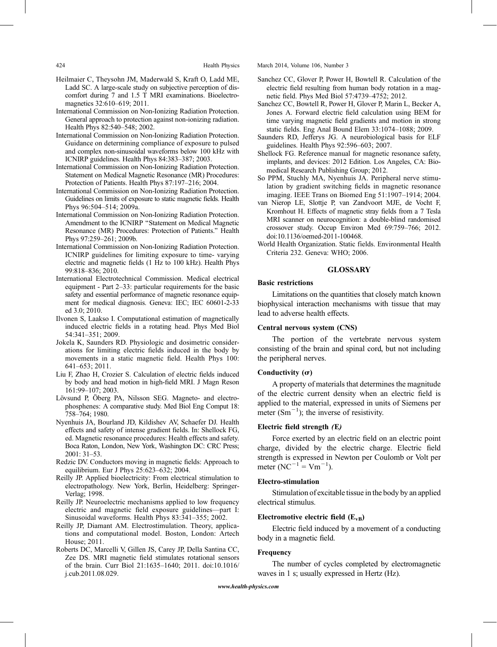- Heilmaier C, Theysohn JM, Maderwald S, Kraft O, Ladd ME, Ladd SC. A large-scale study on subjective perception of discomfort during 7 and 1.5 T MRI examinations. Bioelectromagnetics 32:610-619; 2011.
- International Commission on Non-Ionizing Radiation Protection. General approach to protection against non-ionizing radiation. Health Phys 82:540-548; 2002.
- International Commission on Non-Ionizing Radiation Protection. Guidance on determining compliance of exposure to pulsed and complex non-sinusoidal waveforms below 100 kHz with ICNIRP guidelines. Health Phys 84:383-387; 2003.
- International Commission on Non-Ionizing Radiation Protection. Statement on Medical Magnetic Resonance (MR) Procedures: Protection of Patients. Health Phys 87:197-216; 2004.
- International Commission on Non-Ionizing Radiation Protection. Guidelines on limits of exposure to static magnetic fields. Health Phys 96:504-514; 2009a.
- International Commission on Non-Ionizing Radiation Protection. Amendment to the ICNIRP ''Statement on Medical Magnetic Resonance (MR) Procedures: Protection of Patients.'' Health Phys 97:259-261; 2009b.
- International Commission on Non-Ionizing Radiation Protection. ICNIRP guidelines for limiting exposure to time- varying electric and magnetic fields (1 Hz to 100 kHz). Health Phys 99:818-836; 2010.
- International Electrotechnical Commission. Medical electrical equipment - Part 2–33: particular requirements for the basic safety and essential performance of magnetic resonance equipment for medical diagnosis. Geneva: IEC; IEC 60601-2-33 ed 3.0; 2010.
- Ilvonen S, Laakso I. Computational estimation of magnetically induced electric fields in a rotating head. Phys Med Biol 54:341-351; 2009.
- Jokela K, Saunders RD. Physiologic and dosimetric considerations for limiting electric fields induced in the body by movements in a static magnetic field. Health Phys 100: 641–653; 2011.
- Liu F, Zhao H, Crozier S. Calculation of electric fields induced by body and head motion in high-field MRI. J Magn Reson 161:99-107; 2003.
- Lövsund P, Öberg PA, Nilsson SEG. Magneto- and electrophosphenes: A comparative study. Med Biol Eng Comput 18: 758*Y*764; 1980.
- Nyenhuis JA, Bourland JD, Kildishev AV, Schaefer DJ. Health effects and safety of intense gradient fields. In: Shellock FG, ed. Magnetic resonance procedures: Health effects and safety. Boca Raton, London, New York, Washington DC: CRC Press; 2001: 31–53.
- Redzic DV. Conductors moving in magnetic fields: Approach to equilibrium. Eur J Phys 25:623-632; 2004.
- Reilly JP. Applied bioelectricity: From electrical stimulation to electropathology. New York, Berlin, Heidelberg: Springer-Verlag; 1998.
- Reilly JP. Neuroelectric mechanisms applied to low frequency electric and magnetic field exposure guidelines—part I: Sinusoidal waveforms. Health Phys 83:341-355; 2002.
- Reilly JP, Diamant AM. Electrostimulation. Theory, applications and computational model. Boston, London: Artech House; 2011.
- Roberts DC, Marcelli V, Gillen JS, Carey JP, Della Santina CC, Zee DS. MRI magnetic field stimulates rotational sensors of the brain. Curr Biol 21:1635-1640; 2011. doi:10.1016/ j.cub.2011.08.029.

424 Health Physics March 2014, Volume 106, Number 3

- Sanchez CC, Glover P, Power H, Bowtell R. Calculation of the electric field resulting from human body rotation in a magnetic field. Phys Med Biol 57:4739-4752; 2012.
- Sanchez CC, Bowtell R, Power H, Glover P, Marin L, Becker A, Jones A. Forward electric field calculation using BEM for time varying magnetic field gradients and motion in strong static fields. Eng Anal Bound Elem 33:1074-1088; 2009.
- Saunders RD, Jefferys JG. A neurobiological basis for ELF guidelines. Health Phys 92:596-603; 2007.
- Shellock FG. Reference manual for magnetic resonance safety, implants, and devices: 2012 Edition. Los Angeles, CA: Biomedical Research Publishing Group; 2012.
- So PPM, Stuchly MA, Nyenhuis JA. Peripheral nerve stimulation by gradient switching fields in magnetic resonance imaging. IEEE Trans on Biomed Eng 51:1907-1914; 2004.
- van Nierop LE, Slottje P, van Zandvoort MJE, de Vocht F, Kromhout H. Effects of magnetic stray fields from a 7 Tesla MRI scanner on neurocognition: a double-blind randomised crossover study. Occup Environ Med 69:759-766; 2012. doi:10.1136/oemed-2011-100468.
- World Health Organization. Static fields. Environmental Health Criteria 232. Geneva: WHO; 2006.

#### **GLOSSARY**

#### Basic restrictions

Limitations on the quantities that closely match known biophysical interaction mechanisms with tissue that may lead to adverse health effects.

#### Central nervous system (CNS)

The portion of the vertebrate nervous system consisting of the brain and spinal cord, but not including the peripheral nerves.

#### Conductivity ( $\sigma$ )

A property of materials that determines the magnitude of the electric current density when an electric field is applied to the material, expressed in units of Siemens per meter  $(Sm^{-1})$ ; the inverse of resistivity.

#### Electric field strength (E)

Force exerted by an electric field on an electric point charge, divided by the electric charge. Electric field strength is expressed in Newton per Coulomb or Volt per meter (NC<sup>-1</sup> = Vm<sup>-1</sup>).

#### Electro-stimulation

Stimulation of excitable tissue in the body by an applied electrical stimulus.

#### Electromotive electric field  $(E_{VB})$

Electric field induced by a movement of a conducting body in a magnetic field.

#### Frequency

The number of cycles completed by electromagnetic waves in 1 s; usually expressed in Hertz (Hz).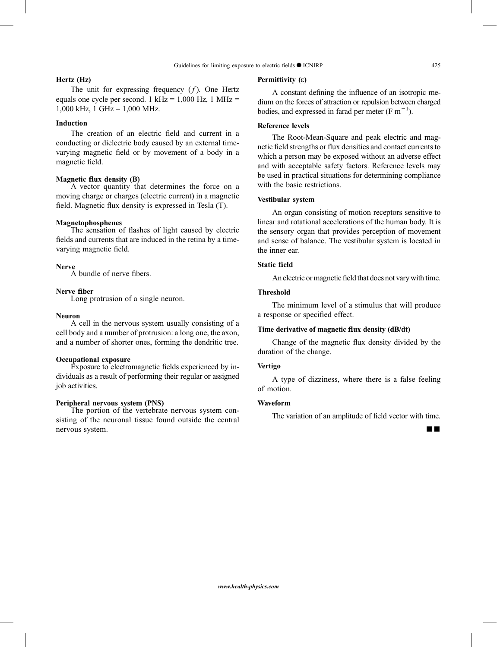#### Hertz (Hz)

### The unit for expressing frequency  $(f)$ . One Hertz equals one cycle per second. 1 kHz =  $1,000$  Hz, 1 MHz = 1,000 kHz, 1 GHz = 1,000 MHz.

#### Induction

The creation of an electric field and current in a conducting or dielectric body caused by an external timevarying magnetic field or by movement of a body in a magnetic field.

#### Magnetic flux density (B)

A vector quantity that determines the force on a moving charge or charges (electric current) in a magnetic field. Magnetic flux density is expressed in Tesla (T).

#### Magnetophosphenes

The sensation of flashes of light caused by electric fields and currents that are induced in the retina by a timevarying magnetic field.

#### Nerve

A bundle of nerve fibers.

#### Nerve fiber

Long protrusion of a single neuron.

#### Neuron

A cell in the nervous system usually consisting of a cell body and a number of protrusion: a long one, the axon, and a number of shorter ones, forming the dendritic tree.

#### Occupational exposure

Exposure to electromagnetic fields experienced by individuals as a result of performing their regular or assigned job activities.

#### Peripheral nervous system (PNS)

The portion of the vertebrate nervous system consisting of the neuronal tissue found outside the central nervous system.

#### Permittivity (*e*)

A constant defining the influence of an isotropic medium on the forces of attraction or repulsion between charged bodies, and expressed in farad per meter  $(F m^{-1})$ .

#### Reference levels

The Root-Mean-Square and peak electric and magnetic field strengths or flux densities and contact currents to which a person may be exposed without an adverse effect and with acceptable safety factors. Reference levels may be used in practical situations for determining compliance with the basic restrictions.

#### Vestibular system

An organ consisting of motion receptors sensitive to linear and rotational accelerations of the human body. It is the sensory organ that provides perception of movement and sense of balance. The vestibular system is located in the inner ear.

#### Static field

An electric or magnetic field that does not vary with time.

#### Threshold

The minimum level of a stimulus that will produce a response or specified effect.

#### Time derivative of magnetic flux density (dB/dt)

Change of the magnetic flux density divided by the duration of the change.

#### Vertigo

A type of dizziness, where there is a false feeling of motion.

#### Waveform

The variation of an amplitude of field vector with time.

¡¡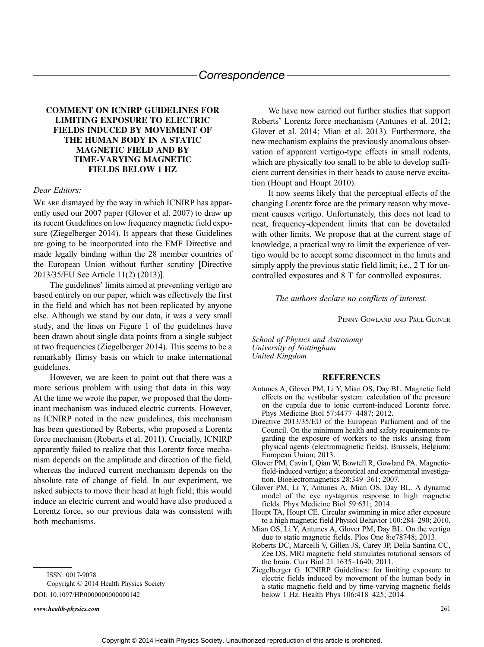#### Correspondence

#### COMMENT ON ICNIRP GUIDELINES FOR LIMITING EXPOSURE TO ELECTRIC FIELDS INDUCED BY MOVEMENT OF THE HUMAN BODY IN A STATIC MAGNETIC FIELD AND BY TIME-VARYING MAGNETIC FIELDS BELOW 1 HZ

#### Dear Editors:

WE ARE dismayed by the way in which ICNIRP has apparently used our 2007 paper (Glover et al. 2007) to draw up its recent Guidelines on low frequency magnetic field exposure (Ziegelberger 2014). It appears that these Guidelines are going to be incorporated into the EMF Directive and made legally binding within the 28 member countries of the European Union without further scrutiny [Directive 2013/35/EU See Article 11(2) (2013)].

The guidelines' limits aimed at preventing vertigo are based entirely on our paper, which was effectively the first in the field and which has not been replicated by anyone else. Although we stand by our data, it was a very small study, and the lines on Figure 1 of the guidelines have been drawn about single data points from a single subject at two frequencies (Ziegelberger 2014). This seems to be a remarkably flimsy basis on which to make international guidelines.

However, we are keen to point out that there was a more serious problem with using that data in this way. At the time we wrote the paper, we proposed that the dominant mechanism was induced electric currents. However, as ICNIRP noted in the new guidelines, this mechanism has been questioned by Roberts, who proposed a Lorentz force mechanism (Roberts et al. 2011). Crucially, ICNIRP apparently failed to realize that this Lorentz force mechanism depends on the amplitude and direction of the field, whereas the induced current mechanism depends on the absolute rate of change of field. In our experiment, we asked subjects to move their head at high field; this would induce an electric current and would have also produced a Lorentz force, so our previous data was consistent with both mechanisms.

ISSN: 0017-9078

Copyright © 2014 Health Physics Society DOI: 10.1097/HP.0000000000000142

www.health-physics.com 261

We have now carried out further studies that support Roberts' Lorentz force mechanism (Antunes et al. 2012; Glover et al. 2014; Mian et al. 2013). Furthermore, the new mechanism explains the previously anomalous observation of apparent vertigo-type effects in small rodents, which are physically too small to be able to develop sufficient current densities in their heads to cause nerve excitation (Houpt and Houpt 2010).

It now seems likely that the perceptual effects of the changing Lorentz force are the primary reason why movement causes vertigo. Unfortunately, this does not lead to neat, frequency-dependent limits that can be dovetailed with other limits. We propose that at the current stage of knowledge, a practical way to limit the experience of vertigo would be to accept some disconnect in the limits and simply apply the previous static field limit; i.e., 2 T for uncontrolled exposures and 8 T for controlled exposures.

#### The authors declare no conflicts of interest.

PENNY GOWLAND AND PAUL GLOVER

School of Physics and Astronomy University of Nottingham United Kingdom

#### REFERENCES

- Antunes A, Glover PM, Li Y, Mian OS, Day BL. Magnetic field effects on the vestibular system: calculation of the pressure on the cupula due to ionic current-induced Lorentz force. Phys Medicine Biol 57:4477–4487; 2012.
- Directive 2013/35/EU of the European Parliament and of the Council. On the minimum health and safety requirements regarding the exposure of workers to the risks arising from physical agents (electromagnetic fields). Brussels, Belgium: European Union; 2013.
- Glover PM, Cavin I, Qian W, Bowtell R, Gowland PA. Magneticfield-induced vertigo: a theoretical and experimental investigation. Bioelectromagnetics 28:349–361; 2007.
- Glover PM, Li Y, Antunes A, Mian OS, Day BL. A dynamic model of the eye nystagmus response to high magnetic fields. Phys Medicine Biol 59:631; 2014.
- Houpt TA, Houpt CE. Circular swimming in mice after exposure to a high magnetic field Physiol Behavior 100:284–290; 2010.
- Mian OS, Li Y, Antunes A, Glover PM, Day BL. On the vertigo due to static magnetic fields. Plos One 8:e78748; 2013.
- Roberts DC, Marcelli V, Gillen JS, Carey JP, Della Santina CC, Zee DS. MRI magnetic field stimulates rotational sensors of the brain. Curr Biol 21:1635–1640; 2011.
- Ziegelberger G. ICNIRP Guidelines: for limiting exposure to electric fields induced by movement of the human body in a static magnetic field and by time-varying magnetic fields below 1 Hz. Health Phys 106:418–425; 2014.